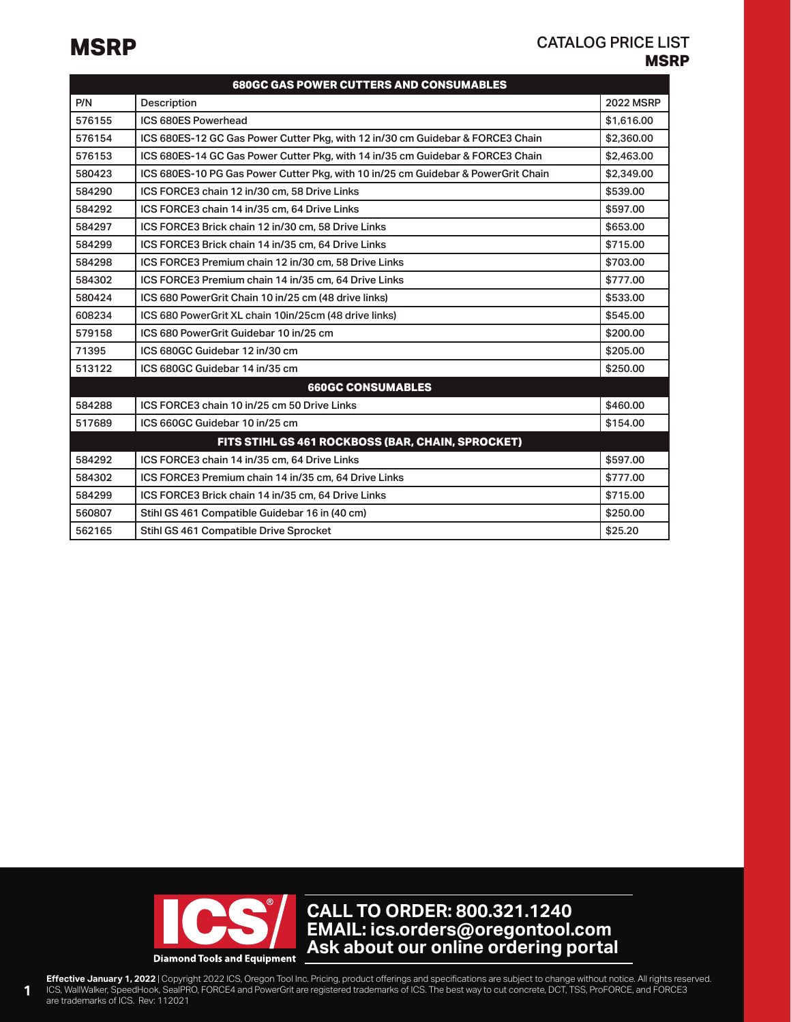## **MSRP MSRP** CATALOG PRICE LIST

| <b>680GC GAS POWER CUTTERS AND CONSUMABLES</b> |                                                                                   |                  |
|------------------------------------------------|-----------------------------------------------------------------------------------|------------------|
| P/N                                            | Description                                                                       | <b>2022 MSRP</b> |
| 576155                                         | ICS 680ES Powerhead                                                               | \$1,616.00       |
| 576154                                         | ICS 680ES-12 GC Gas Power Cutter Pkg, with 12 in/30 cm Guidebar & FORCE3 Chain    | \$2,360,00       |
| 576153                                         | ICS 680ES-14 GC Gas Power Cutter Pkg, with 14 in/35 cm Guidebar & FORCE3 Chain    | \$2,463,00       |
| 580423                                         | ICS 680ES-10 PG Gas Power Cutter Pkg, with 10 in/25 cm Guidebar & PowerGrit Chain | \$2,349.00       |
| 584290                                         | ICS FORCE3 chain 12 in/30 cm, 58 Drive Links                                      | \$539.00         |
| 584292                                         | ICS FORCE3 chain 14 in/35 cm, 64 Drive Links                                      | \$597.00         |
| 584297                                         | ICS FORCE3 Brick chain 12 in/30 cm, 58 Drive Links                                | \$653.00         |
| 584299                                         | ICS FORCE3 Brick chain 14 in/35 cm, 64 Drive Links                                | \$715.00         |
| 584298                                         | ICS FORCE3 Premium chain 12 in/30 cm, 58 Drive Links                              | \$703.00         |
| 584302                                         | ICS FORCE3 Premium chain 14 in/35 cm, 64 Drive Links                              | \$777.00         |
| 580424                                         | ICS 680 PowerGrit Chain 10 in/25 cm (48 drive links)                              | \$533.00         |
| 608234                                         | ICS 680 PowerGrit XL chain 10in/25cm (48 drive links)                             | \$545.00         |
| 579158                                         | ICS 680 PowerGrit Guidebar 10 in/25 cm                                            | \$200.00         |
| 71395                                          | ICS 680GC Guidebar 12 in/30 cm                                                    | \$205.00         |
| 513122                                         | ICS 680GC Guidebar 14 in/35 cm                                                    | \$250.00         |
| <b>660GC CONSUMABLES</b>                       |                                                                                   |                  |
| 584288                                         | ICS FORCE3 chain 10 in/25 cm 50 Drive Links                                       | \$460.00         |
| 517689                                         | ICS 660GC Guidebar 10 in/25 cm                                                    | \$154.00         |
|                                                | FITS STIHL GS 461 ROCKBOSS (BAR, CHAIN, SPROCKET)                                 |                  |
| 584292                                         | ICS FORCE3 chain 14 in/35 cm, 64 Drive Links                                      | \$597.00         |
| 584302                                         | ICS FORCE3 Premium chain 14 in/35 cm, 64 Drive Links                              | \$777.00         |
| 584299                                         | ICS FORCE3 Brick chain 14 in/35 cm, 64 Drive Links                                | \$715.00         |
| 560807                                         | Stihl GS 461 Compatible Guidebar 16 in (40 cm)                                    | \$250.00         |
| 562165                                         | Stihl GS 461 Compatible Drive Sprocket                                            | \$25.20          |



**CALL TO ORDER: 800.321.1240** EMAIL: ics.orders@oregontool.com **Ask about our online ordering portal ics.orders@oregontool.com**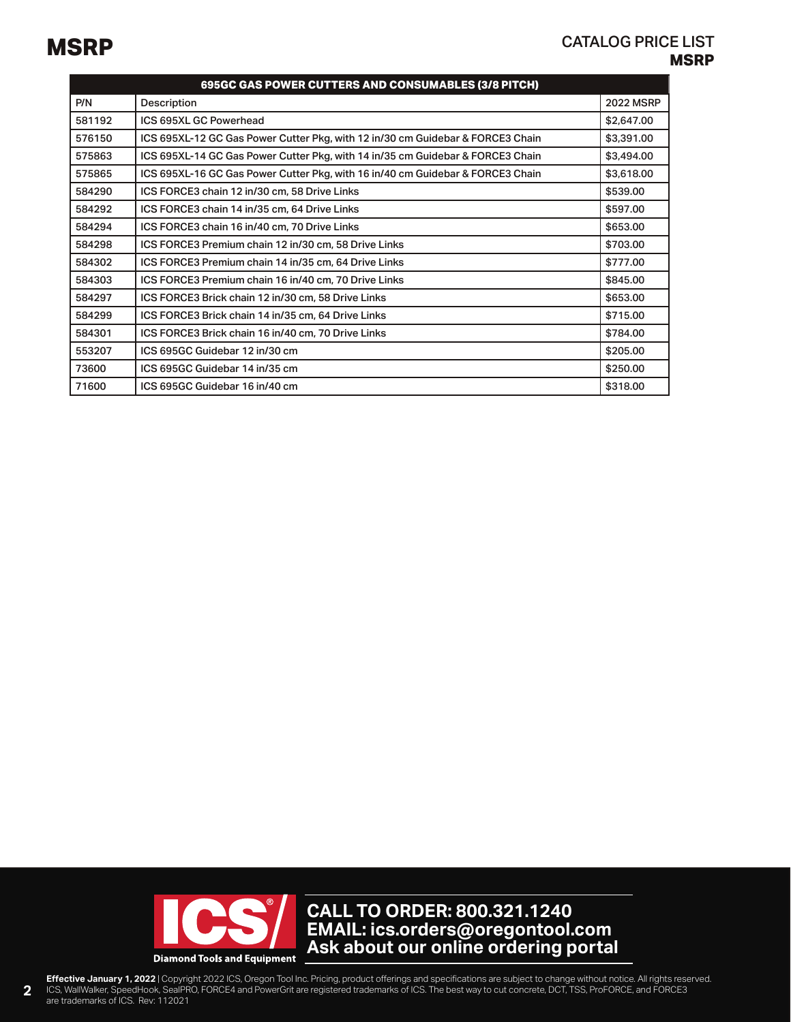| 695GC GAS POWER CUTTERS AND CONSUMABLES (3/8 PITCH) |                                                                                |                  |
|-----------------------------------------------------|--------------------------------------------------------------------------------|------------------|
| P/N                                                 | Description                                                                    | <b>2022 MSRP</b> |
| 581192                                              | ICS 695XL GC Powerhead                                                         | \$2,647.00       |
| 576150                                              | ICS 695XL-12 GC Gas Power Cutter Pkg, with 12 in/30 cm Guidebar & FORCE3 Chain | \$3,391.00       |
| 575863                                              | ICS 695XL-14 GC Gas Power Cutter Pkg, with 14 in/35 cm Guidebar & FORCE3 Chain | \$3,494.00       |
| 575865                                              | ICS 695XL-16 GC Gas Power Cutter Pkg, with 16 in/40 cm Guidebar & FORCE3 Chain | \$3,618.00       |
| 584290                                              | ICS FORCE3 chain 12 in/30 cm, 58 Drive Links                                   | \$539.00         |
| 584292                                              | ICS FORCE3 chain 14 in/35 cm, 64 Drive Links                                   | \$597.00         |
| 584294                                              | ICS FORCE3 chain 16 in/40 cm, 70 Drive Links                                   | \$653.00         |
| 584298                                              | ICS FORCE3 Premium chain 12 in/30 cm, 58 Drive Links                           | \$703.00         |
| 584302                                              | ICS FORCE3 Premium chain 14 in/35 cm, 64 Drive Links                           | \$777.00         |
| 584303                                              | ICS FORCE3 Premium chain 16 in/40 cm, 70 Drive Links                           | \$845.00         |
| 584297                                              | ICS FORCE3 Brick chain 12 in/30 cm, 58 Drive Links                             | \$653,00         |
| 584299                                              | ICS FORCE3 Brick chain 14 in/35 cm, 64 Drive Links                             | \$715,00         |
| 584301                                              | ICS FORCE3 Brick chain 16 in/40 cm, 70 Drive Links                             | \$784.00         |
| 553207                                              | ICS 695GC Guidebar 12 in/30 cm                                                 | \$205.00         |
| 73600                                               | ICS 695GC Guidebar 14 in/35 cm                                                 | \$250.00         |
| 71600                                               | ICS 695GC Guidebar 16 in/40 cm                                                 | \$318.00         |

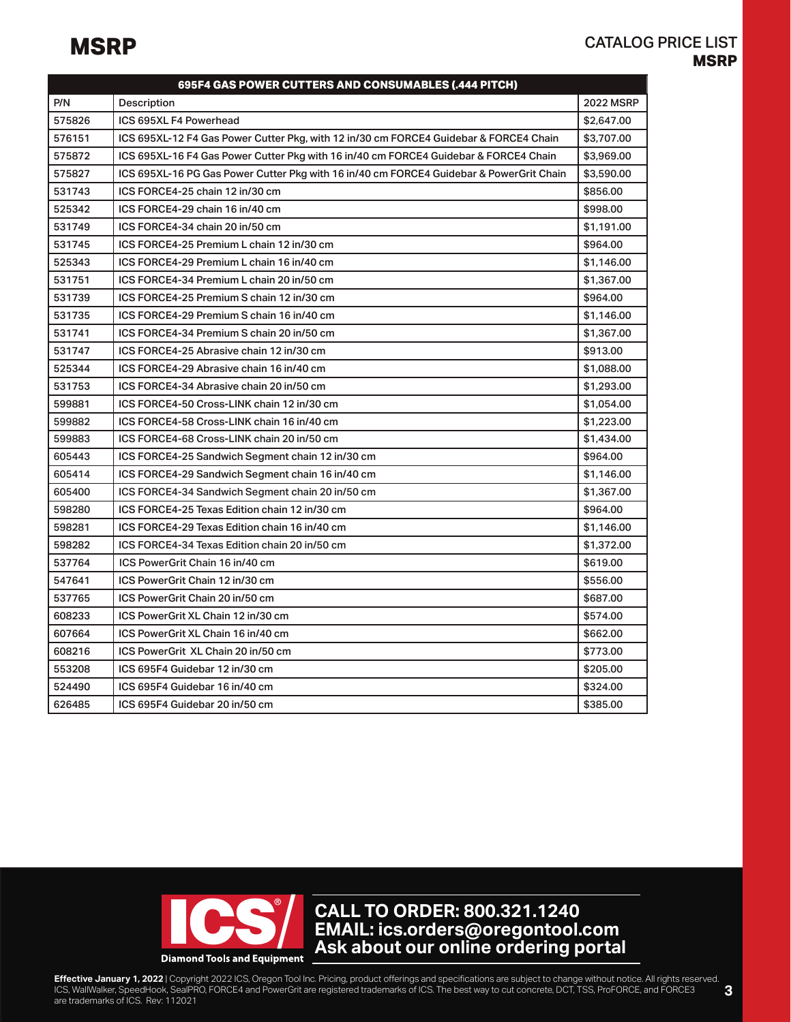| 695F4 GAS POWER CUTTERS AND CONSUMABLES (.444 PITCH) |                                                                                         |                  |
|------------------------------------------------------|-----------------------------------------------------------------------------------------|------------------|
| P/N                                                  | Description                                                                             | <b>2022 MSRP</b> |
| 575826                                               | ICS 695XL F4 Powerhead                                                                  | \$2,647,00       |
| 576151                                               | ICS 695XL-12 F4 Gas Power Cutter Pkg, with 12 in/30 cm FORCE4 Guidebar & FORCE4 Chain   | \$3,707.00       |
| 575872                                               | ICS 695XL-16 F4 Gas Power Cutter Pkg with 16 in/40 cm FORCE4 Guidebar & FORCE4 Chain    | \$3,969,00       |
| 575827                                               | ICS 695XL-16 PG Gas Power Cutter Pkg with 16 in/40 cm FORCE4 Guidebar & PowerGrit Chain | \$3,590.00       |
| 531743                                               | ICS FORCE4-25 chain 12 in/30 cm                                                         | \$856.00         |
| 525342                                               | ICS FORCE4-29 chain 16 in/40 cm                                                         | \$998.00         |
| 531749                                               | ICS FORCE4-34 chain 20 in/50 cm                                                         | \$1,191.00       |
| 531745                                               | ICS FORCE4-25 Premium L chain 12 in/30 cm                                               | \$964.00         |
| 525343                                               | ICS FORCE4-29 Premium L chain 16 in/40 cm                                               | \$1,146,00       |
| 531751                                               | ICS FORCE4-34 Premium L chain 20 in/50 cm                                               | \$1,367.00       |
| 531739                                               | ICS FORCE4-25 Premium S chain 12 in/30 cm                                               | \$964.00         |
| 531735                                               | ICS FORCE4-29 Premium S chain 16 in/40 cm                                               | \$1,146.00       |
| 531741                                               | ICS FORCE4-34 Premium S chain 20 in/50 cm                                               | \$1,367.00       |
| 531747                                               | ICS FORCE4-25 Abrasive chain 12 in/30 cm                                                | \$913.00         |
| 525344                                               | ICS FORCE4-29 Abrasive chain 16 in/40 cm                                                | \$1,088.00       |
| 531753                                               | ICS FORCE4-34 Abrasive chain 20 in/50 cm                                                | \$1,293.00       |
| 599881                                               | ICS FORCE4-50 Cross-LINK chain 12 in/30 cm                                              | \$1,054.00       |
| 599882                                               | ICS FORCE4-58 Cross-LINK chain 16 in/40 cm                                              | \$1,223.00       |
| 599883                                               | ICS FORCE4-68 Cross-LINK chain 20 in/50 cm                                              | \$1,434.00       |
| 605443                                               | ICS FORCE4-25 Sandwich Segment chain 12 in/30 cm                                        | \$964.00         |
| 605414                                               | ICS FORCE4-29 Sandwich Segment chain 16 in/40 cm                                        | \$1,146.00       |
| 605400                                               | ICS FORCE4-34 Sandwich Segment chain 20 in/50 cm                                        | \$1,367.00       |
| 598280                                               | ICS FORCE4-25 Texas Edition chain 12 in/30 cm                                           | \$964,00         |
| 598281                                               | ICS FORCE4-29 Texas Edition chain 16 in/40 cm                                           | \$1,146.00       |
| 598282                                               | ICS FORCE4-34 Texas Edition chain 20 in/50 cm                                           | \$1,372.00       |
| 537764                                               | ICS PowerGrit Chain 16 in/40 cm                                                         | \$619.00         |
| 547641                                               | ICS PowerGrit Chain 12 in/30 cm                                                         | \$556.00         |
| 537765                                               | ICS PowerGrit Chain 20 in/50 cm                                                         | \$687.00         |
| 608233                                               | ICS PowerGrit XL Chain 12 in/30 cm                                                      | \$574.00         |
| 607664                                               | ICS PowerGrit XL Chain 16 in/40 cm                                                      | \$662.00         |
| 608216                                               | ICS PowerGrit XL Chain 20 in/50 cm                                                      | \$773.00         |
| 553208                                               | ICS 695F4 Guidebar 12 in/30 cm                                                          | \$205.00         |
| 524490                                               | ICS 695F4 Guidebar 16 in/40 cm                                                          | \$324.00         |
| 626485                                               | ICS 695F4 Guidebar 20 in/50 cm                                                          | \$385,00         |

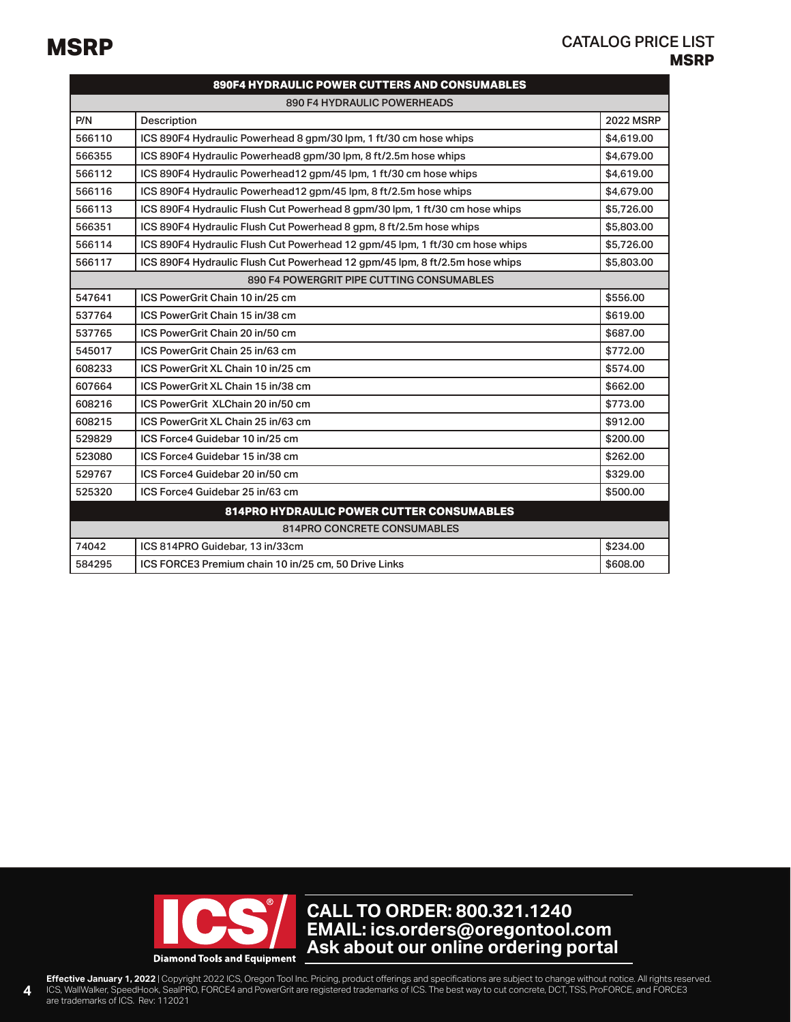| 890F4 HYDRAULIC POWER CUTTERS AND CONSUMABLES |                                                                              |                  |
|-----------------------------------------------|------------------------------------------------------------------------------|------------------|
| 890 F4 HYDRAULIC POWERHEADS                   |                                                                              |                  |
| P/N                                           | Description                                                                  | <b>2022 MSRP</b> |
| 566110                                        | ICS 890F4 Hydraulic Powerhead 8 gpm/30 lpm, 1 ft/30 cm hose whips            | \$4,619,00       |
| 566355                                        | ICS 890F4 Hydraulic Powerhead8 gpm/30 lpm, 8 ft/2.5m hose whips              | \$4,679.00       |
| 566112                                        | ICS 890F4 Hydraulic Powerhead12 gpm/45 lpm, 1 ft/30 cm hose whips            | \$4,619.00       |
| 566116                                        | ICS 890F4 Hydraulic Powerhead12 gpm/45 lpm, 8 ft/2.5m hose whips             | \$4,679.00       |
| 566113                                        | ICS 890F4 Hydraulic Flush Cut Powerhead 8 gpm/30 lpm, 1 ft/30 cm hose whips  | \$5,726.00       |
| 566351                                        | ICS 890F4 Hydraulic Flush Cut Powerhead 8 gpm, 8 ft/2.5m hose whips          | \$5,803.00       |
| 566114                                        | ICS 890F4 Hydraulic Flush Cut Powerhead 12 gpm/45 lpm, 1 ft/30 cm hose whips | \$5,726,00       |
| 566117                                        | ICS 890F4 Hydraulic Flush Cut Powerhead 12 gpm/45 lpm, 8 ft/2.5m hose whips  | \$5,803.00       |
|                                               | 890 F4 POWERGRIT PIPE CUTTING CONSUMABLES                                    |                  |
| 547641                                        | ICS PowerGrit Chain 10 in/25 cm                                              | \$556.00         |
| 537764                                        | ICS PowerGrit Chain 15 in/38 cm                                              | \$619.00         |
| 537765                                        | ICS PowerGrit Chain 20 in/50 cm                                              | \$687.00         |
| 545017                                        | ICS PowerGrit Chain 25 in/63 cm                                              | \$772.00         |
| 608233                                        | ICS PowerGrit XL Chain 10 in/25 cm                                           | \$574.00         |
| 607664                                        | ICS PowerGrit XL Chain 15 in/38 cm                                           | \$662.00         |
| 608216                                        | ICS PowerGrit XLChain 20 in/50 cm                                            | \$773.00         |
| 608215                                        | ICS PowerGrit XL Chain 25 in/63 cm                                           | \$912.00         |
| 529829                                        | ICS Force4 Guidebar 10 in/25 cm                                              | \$200.00         |
| 523080                                        | ICS Force4 Guidebar 15 in/38 cm                                              | \$262.00         |
| 529767                                        | ICS Force4 Guidebar 20 in/50 cm                                              | \$329.00         |
| 525320                                        | ICS Force4 Guidebar 25 in/63 cm                                              | \$500.00         |
|                                               | <b>814PRO HYDRAULIC POWER CUTTER CONSUMABLES</b>                             |                  |
| <b>814PRO CONCRETE CONSUMABLES</b>            |                                                                              |                  |
| 74042                                         | ICS 814PRO Guidebar, 13 in/33cm                                              | \$234.00         |
| 584295                                        | ICS FORCE3 Premium chain 10 in/25 cm, 50 Drive Links                         | \$608.00         |

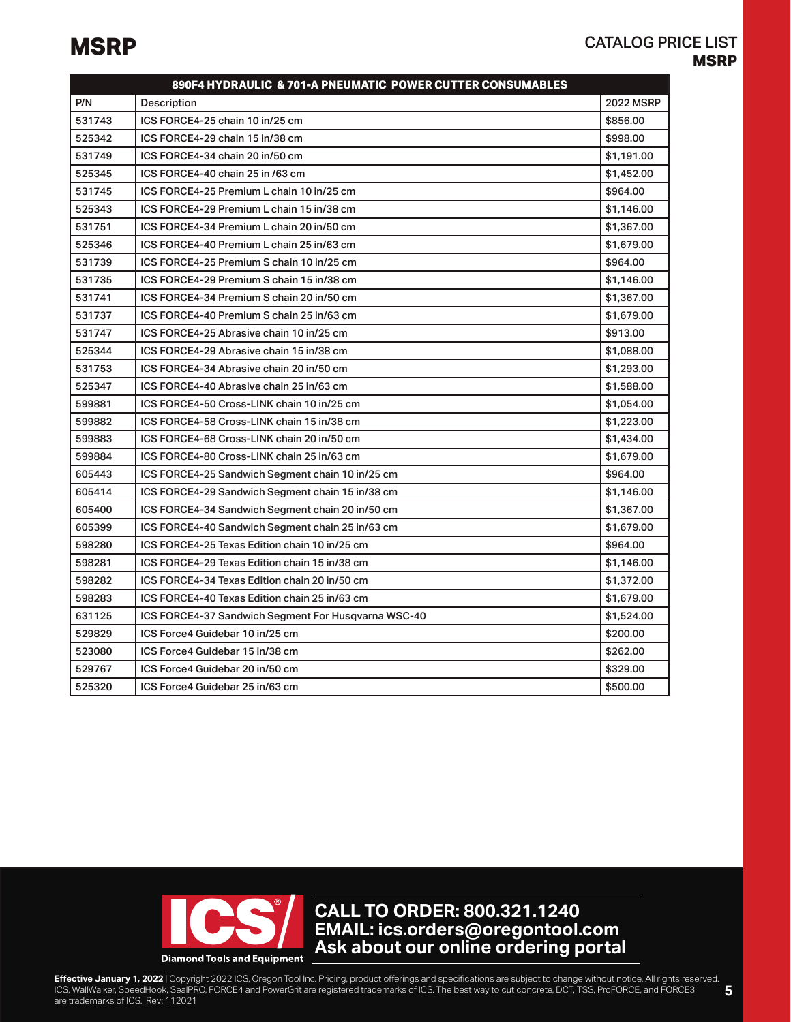|        | 890F4 HYDRAULIC & 701-A PNEUMATIC POWER CUTTER CONSUMABLES |                  |
|--------|------------------------------------------------------------|------------------|
| P/N    | Description                                                | <b>2022 MSRP</b> |
| 531743 | ICS FORCE4-25 chain 10 in/25 cm                            | \$856.00         |
| 525342 | ICS FORCE4-29 chain 15 in/38 cm                            | \$998.00         |
| 531749 | ICS FORCE4-34 chain 20 in/50 cm                            | \$1,191.00       |
| 525345 | ICS FORCE4-40 chain 25 in /63 cm                           | \$1,452.00       |
| 531745 | ICS FORCE4-25 Premium L chain 10 in/25 cm                  | \$964.00         |
| 525343 | ICS FORCE4-29 Premium L chain 15 in/38 cm                  | \$1,146,00       |
| 531751 | ICS FORCE4-34 Premium L chain 20 in/50 cm                  | \$1,367.00       |
| 525346 | ICS FORCE4-40 Premium L chain 25 in/63 cm                  | \$1,679.00       |
| 531739 | ICS FORCE4-25 Premium S chain 10 in/25 cm                  | \$964.00         |
| 531735 | ICS FORCE4-29 Premium S chain 15 in/38 cm                  | \$1,146.00       |
| 531741 | ICS FORCE4-34 Premium S chain 20 in/50 cm                  | \$1,367.00       |
| 531737 | ICS FORCE4-40 Premium S chain 25 in/63 cm                  | \$1,679.00       |
| 531747 | ICS FORCE4-25 Abrasive chain 10 in/25 cm                   | \$913.00         |
| 525344 | ICS FORCE4-29 Abrasive chain 15 in/38 cm                   | \$1,088.00       |
| 531753 | ICS FORCE4-34 Abrasive chain 20 in/50 cm                   | \$1,293.00       |
| 525347 | ICS FORCE4-40 Abrasive chain 25 in/63 cm                   | \$1,588.00       |
| 599881 | ICS FORCE4-50 Cross-LINK chain 10 in/25 cm                 | \$1,054.00       |
| 599882 | ICS FORCE4-58 Cross-LINK chain 15 in/38 cm                 | \$1,223,00       |
| 599883 | ICS FORCE4-68 Cross-LINK chain 20 in/50 cm                 | \$1,434.00       |
| 599884 | ICS FORCE4-80 Cross-LINK chain 25 in/63 cm                 | \$1,679.00       |
| 605443 | ICS FORCE4-25 Sandwich Segment chain 10 in/25 cm           | \$964.00         |
| 605414 | ICS FORCE4-29 Sandwich Segment chain 15 in/38 cm           | \$1,146.00       |
| 605400 | ICS FORCE4-34 Sandwich Segment chain 20 in/50 cm           | \$1,367.00       |
| 605399 | ICS FORCE4-40 Sandwich Segment chain 25 in/63 cm           | \$1,679.00       |
| 598280 | ICS FORCE4-25 Texas Edition chain 10 in/25 cm              | \$964.00         |
| 598281 | ICS FORCE4-29 Texas Edition chain 15 in/38 cm              | \$1,146.00       |
| 598282 | ICS FORCE4-34 Texas Edition chain 20 in/50 cm              | \$1,372.00       |
| 598283 | ICS FORCE4-40 Texas Edition chain 25 in/63 cm              | \$1,679.00       |
| 631125 | ICS FORCE4-37 Sandwich Segment For Husqvarna WSC-40        | \$1,524.00       |
| 529829 | ICS Force4 Guidebar 10 in/25 cm                            | \$200.00         |
| 523080 | ICS Force4 Guidebar 15 in/38 cm                            | \$262.00         |
| 529767 | ICS Force4 Guidebar 20 in/50 cm                            | \$329.00         |
| 525320 | ICS Force4 Guidebar 25 in/63 cm                            | \$500.00         |

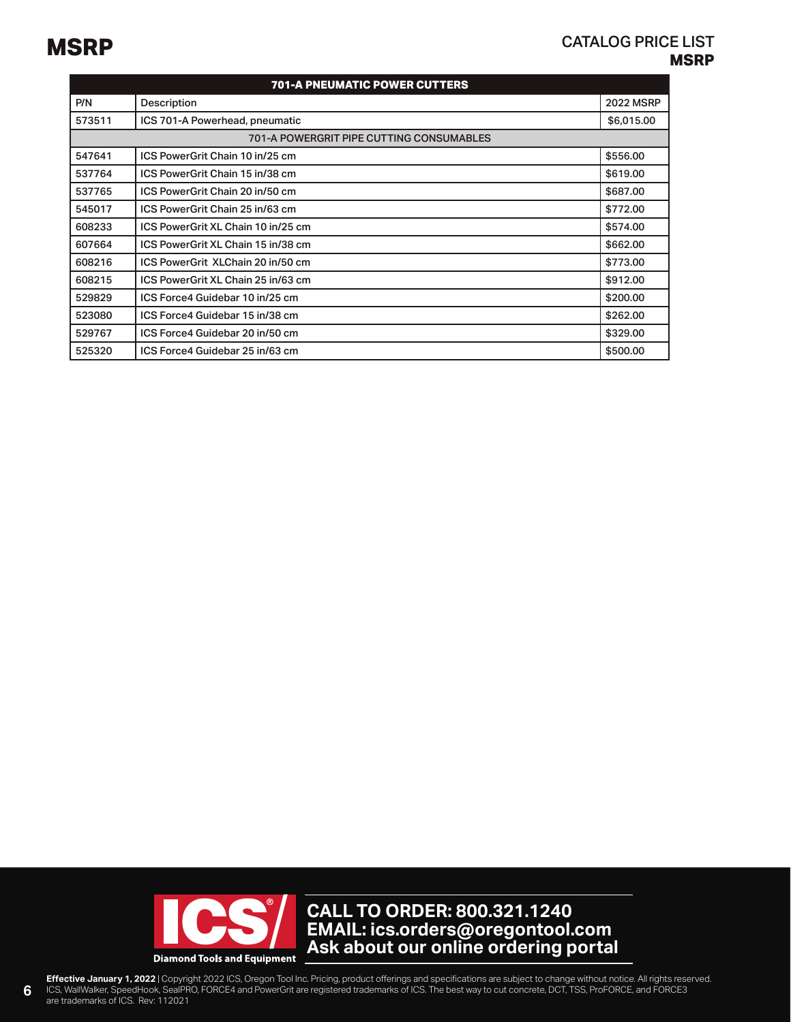| <b>701-A PNEUMATIC POWER CUTTERS</b> |                                                 |                  |
|--------------------------------------|-------------------------------------------------|------------------|
| P/N                                  | Description                                     | <b>2022 MSRP</b> |
| 573511                               | ICS 701-A Powerhead, pneumatic                  | \$6,015.00       |
|                                      | <b>701-A POWERGRIT PIPE CUTTING CONSUMABLES</b> |                  |
| 547641                               | ICS PowerGrit Chain 10 in/25 cm                 | \$556.00         |
| 537764                               | ICS PowerGrit Chain 15 in/38 cm                 | \$619.00         |
| 537765                               | ICS PowerGrit Chain 20 in/50 cm                 | \$687,00         |
| 545017                               | ICS PowerGrit Chain 25 in/63 cm                 | \$772.00         |
| 608233                               | ICS PowerGrit XL Chain 10 in/25 cm              | \$574.00         |
| 607664                               | ICS PowerGrit XL Chain 15 in/38 cm              | \$662,00         |
| 608216                               | ICS PowerGrit XLChain 20 in/50 cm               | \$773.00         |
| 608215                               | ICS PowerGrit XL Chain 25 in/63 cm              | \$912.00         |
| 529829                               | ICS Force4 Guidebar 10 in/25 cm                 | \$200.00         |
| 523080                               | ICS Force4 Guidebar 15 in/38 cm                 | \$262.00         |
| 529767                               | ICS Force4 Guidebar 20 in/50 cm                 | \$329.00         |
| 525320                               | ICS Force4 Guidebar 25 in/63 cm                 | \$500.00         |

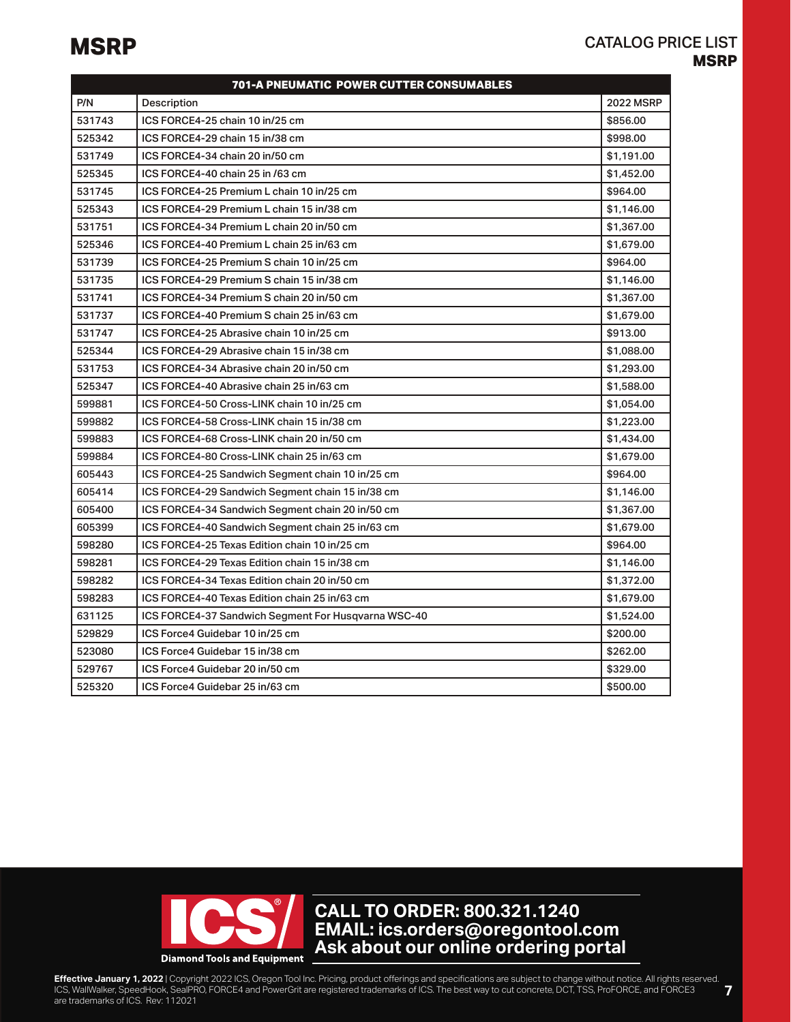|        | 701-A PNEUMATIC POWER CUTTER CONSUMABLES            |                  |
|--------|-----------------------------------------------------|------------------|
| P/N    | Description                                         | <b>2022 MSRP</b> |
| 531743 | ICS FORCE4-25 chain 10 in/25 cm                     | \$856.00         |
| 525342 | ICS FORCE4-29 chain 15 in/38 cm                     | \$998.00         |
| 531749 | ICS FORCE4-34 chain 20 in/50 cm                     | \$1,191.00       |
| 525345 | ICS FORCE4-40 chain 25 in /63 cm                    | \$1,452.00       |
| 531745 | ICS FORCE4-25 Premium L chain 10 in/25 cm           | \$964.00         |
| 525343 | ICS FORCE4-29 Premium L chain 15 in/38 cm           | \$1,146.00       |
| 531751 | ICS FORCE4-34 Premium L chain 20 in/50 cm           | \$1,367.00       |
| 525346 | ICS FORCE4-40 Premium L chain 25 in/63 cm           | \$1,679.00       |
| 531739 | ICS FORCE4-25 Premium S chain 10 in/25 cm           | \$964.00         |
| 531735 | ICS FORCE4-29 Premium S chain 15 in/38 cm           | \$1,146.00       |
| 531741 | ICS FORCE4-34 Premium S chain 20 in/50 cm           | \$1,367.00       |
| 531737 | ICS FORCE4-40 Premium S chain 25 in/63 cm           | \$1,679.00       |
| 531747 | ICS FORCE4-25 Abrasive chain 10 in/25 cm            | \$913,00         |
| 525344 | ICS FORCE4-29 Abrasive chain 15 in/38 cm            | \$1,088,00       |
| 531753 | ICS FORCE4-34 Abrasive chain 20 in/50 cm            | \$1,293.00       |
| 525347 | ICS FORCE4-40 Abrasive chain 25 in/63 cm            | \$1,588.00       |
| 599881 | ICS FORCE4-50 Cross-LINK chain 10 in/25 cm          | \$1,054.00       |
| 599882 | ICS FORCE4-58 Cross-LINK chain 15 in/38 cm          | \$1,223.00       |
| 599883 | ICS FORCE4-68 Cross-LINK chain 20 in/50 cm          | \$1,434.00       |
| 599884 | ICS FORCE4-80 Cross-LINK chain 25 in/63 cm          | \$1,679.00       |
| 605443 | ICS FORCE4-25 Sandwich Segment chain 10 in/25 cm    | \$964,00         |
| 605414 | ICS FORCE4-29 Sandwich Segment chain 15 in/38 cm    | \$1,146.00       |
| 605400 | ICS FORCE4-34 Sandwich Segment chain 20 in/50 cm    | \$1,367.00       |
| 605399 | ICS FORCE4-40 Sandwich Segment chain 25 in/63 cm    | \$1,679.00       |
| 598280 | ICS FORCE4-25 Texas Edition chain 10 in/25 cm       | \$964.00         |
| 598281 | ICS FORCE4-29 Texas Edition chain 15 in/38 cm       | \$1,146.00       |
| 598282 | ICS FORCE4-34 Texas Edition chain 20 in/50 cm       | \$1,372.00       |
| 598283 | ICS FORCE4-40 Texas Edition chain 25 in/63 cm       | \$1,679.00       |
| 631125 | ICS FORCE4-37 Sandwich Segment For Husqvarna WSC-40 | \$1,524.00       |
| 529829 | ICS Force4 Guidebar 10 in/25 cm                     | \$200.00         |
| 523080 | ICS Force4 Guidebar 15 in/38 cm                     | \$262.00         |
| 529767 | ICS Force4 Guidebar 20 in/50 cm                     | \$329.00         |
| 525320 | ICS Force4 Guidebar 25 in/63 cm                     | \$500.00         |